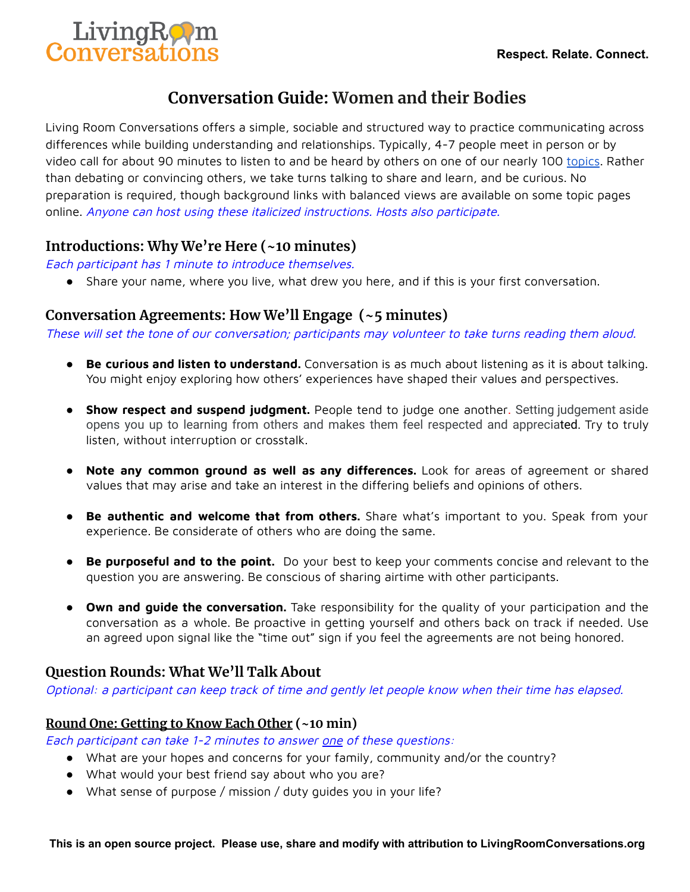

# **Conversation Guide: Women and their Bodies**

Living Room Conversations offers a simple, sociable and structured way to practice communicating across differences while building understanding and relationships. Typically, 4-7 people meet in person or by video call for about 90 minutes to listen to and be heard by others on one of our nearly 100 [topics](https://www.livingroomconversations.org/topics/). Rather than debating or convincing others, we take turns talking to share and learn, and be curious. No preparation is required, though background links with balanced views are available on some topic pages online. Anyone can host using these italicized instructions. Hosts also participate.

# **Introductions: Why We're Here (~10 minutes)**

Each participant has 1 minute to introduce themselves.

● Share your name, where you live, what drew you here, and if this is your first conversation.

# **Conversation Agreements: How We'll Engage (~5 minutes)**

These will set the tone of our conversation; participants may volunteer to take turns reading them aloud.

- **Be curious and listen to understand.** Conversation is as much about listening as it is about talking. You might enjoy exploring how others' experiences have shaped their values and perspectives.
- **Show respect and suspend judgment.** People tend to judge one another. Setting judgement aside opens you up to learning from others and makes them feel respected and appreciated. Try to truly listen, without interruption or crosstalk.
- **Note any common ground as well as any differences.** Look for areas of agreement or shared values that may arise and take an interest in the differing beliefs and opinions of others.
- **Be authentic and welcome that from others.** Share what's important to you. Speak from your experience. Be considerate of others who are doing the same.
- **Be purposeful and to the point.** Do your best to keep your comments concise and relevant to the question you are answering. Be conscious of sharing airtime with other participants.
- **Own and guide the conversation.** Take responsibility for the quality of your participation and the conversation as a whole. Be proactive in getting yourself and others back on track if needed. Use an agreed upon signal like the "time out" sign if you feel the agreements are not being honored.

# **Question Rounds: What We'll Talk About**

Optional: <sup>a</sup> participant can keep track of time and gently let people know when their time has elapsed.

#### **Round One: Getting to Know Each Other (~10 min)**

Each participant can take 1-2 minutes to answer one of these questions:

- What are your hopes and concerns for your family, community and/or the country?
- What would your best friend say about who you are?
- What sense of purpose / mission / duty guides you in your life?